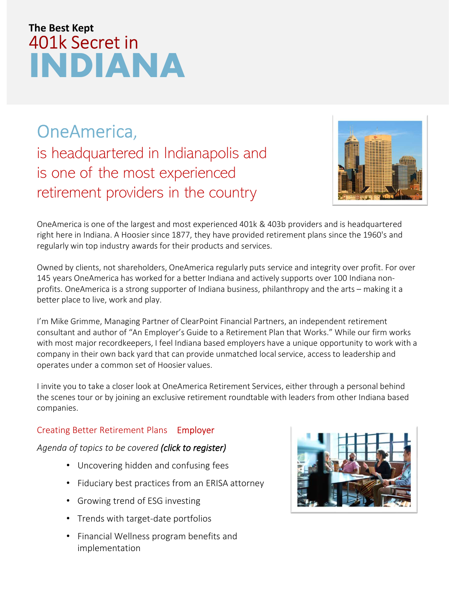# INDIANA 401k Secret in The Best Kept

OneAmerica, is headquartered in Indianapolis and **is one of the largest and most experienced 401k & 403b providers and is headquartered**<br> **One America**,<br> **is headquartered in Indianapolis and**<br> **is one of the most experienced**<br> **retirement providers in the country**<br> **One** retirement providers in the country<br>one<br>America is one of the most experienced<br>retirement providers in the country<br>one<br>America is one of the largest and most experienced 401k & 403b providers and is h<br>regularly win too ind



OneAmerica is one of the largest and most experienced 401k & 403b providers and is headquartered right here in Indiana. A Hoosier since 1877, they have provided retirement plans since the 1960's and regularly win top industry awards for their products and services.

Owned by clients, not shareholders, OneAmerica regularly puts service and integrity over profit. For over 145 years OneAmerica has worked for a better Indiana and actively supports over 100 Indiana nonprofits. OneAmerica is a strong supporter of Indiana business, philanthropy and the arts – making it a better place to live, work and play.

I'm Mike Grimme, Managing Partner of ClearPoint Financial Partners, an independent retirement consultant and author of "An Employer's Guide to a Retirement Plan that Works." While our firm works with most major recordkeepers, I feel Indiana based employers have a unique opportunity to work with a company in their own back yard that can provide unmatched local service, access to leadership and operates under a common set of Hoosier values.

I invite you to take a closer look at OneAmerica Retirement Services, either through a personal behind the scenes tour or by joining an exclusive retirement roundtable with leaders from other Indiana based companies.

#### Creating Better Retirement Plans - Employer Roundtable

#### Agenda of topics *to be* covered *(click to register)*

- Uncovering hidden and confusing fees
- Fiduciary best practices from an ERISA attorney
- Growing trend of ESG investing
- Trends with target-date portfolios
- Financial Wellness program benefits and implementation